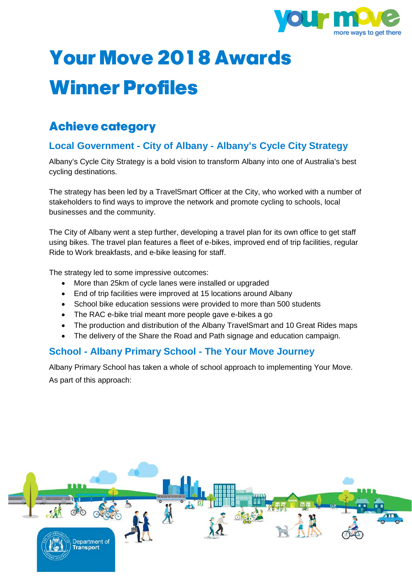

# **Your Move 2018 Awards Winner Profiles**

# **Achieve category**

# **Local Government - City of Albany - Albany's Cycle City Strategy**

Albany's Cycle City Strategy is a bold vision to transform Albany into one of Australia's best cycling destinations.

The strategy has been led by a TravelSmart Officer at the City, who worked with a number of stakeholders to find ways to improve the network and promote cycling to schools, local businesses and the community.

The City of Albany went a step further, developing a travel plan for its own office to get staff using bikes. The travel plan features a fleet of e-bikes, improved end of trip facilities, regular Ride to Work breakfasts, and e-bike leasing for staff.

The strategy led to some impressive outcomes:

- More than 25km of cycle lanes were installed or upgraded
- End of trip facilities were improved at 15 locations around Albany
- School bike education sessions were provided to more than 500 students
- The RAC e-bike trial meant more people gave e-bikes a go
- The production and distribution of the Albany TravelSmart and 10 Great Rides maps
- The delivery of the Share the Road and Path signage and education campaign.

#### **School - Albany Primary School - The Your Move Journey**

Albany Primary School has taken a whole of school approach to implementing Your Move. As part of this approach:

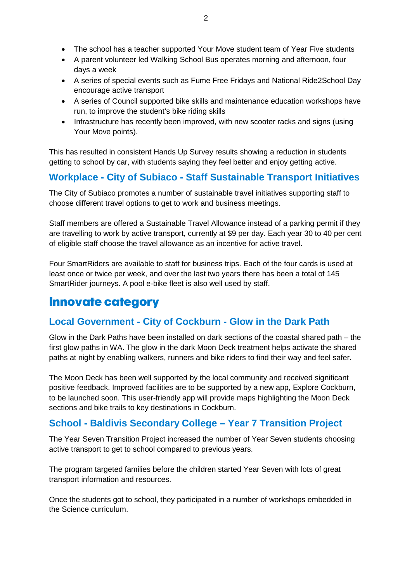- The school has a teacher supported Your Move student team of Year Five students
- A parent volunteer led Walking School Bus operates morning and afternoon, four days a week
- A series of special events such as Fume Free Fridays and National Ride2School Day encourage active transport
- A series of Council supported bike skills and maintenance education workshops have run, to improve the student's bike riding skills
- Infrastructure has recently been improved, with new scooter racks and signs (using Your Move points).

This has resulted in consistent Hands Up Survey results showing a reduction in students getting to school by car, with students saying they feel better and enjoy getting active.

# **Workplace - City of Subiaco - Staff Sustainable Transport Initiatives**

The City of Subiaco promotes a number of sustainable travel initiatives supporting staff to choose different travel options to get to work and business meetings.

Staff members are offered a Sustainable Travel Allowance instead of a parking permit if they are travelling to work by active transport, currently at \$9 per day. Each year 30 to 40 per cent of eligible staff choose the travel allowance as an incentive for active travel.

Four SmartRiders are available to staff for business trips. Each of the four cards is used at least once or twice per week, and over the last two years there has been a total of 145 SmartRider journeys. A pool e-bike fleet is also well used by staff.

# **Innovate category**

### **Local Government - City of Cockburn - Glow in the Dark Path**

Glow in the Dark Paths have been installed on dark sections of the coastal shared path – the first glow paths in WA. The glow in the dark Moon Deck treatment helps activate the shared paths at night by enabling walkers, runners and bike riders to find their way and feel safer.

The Moon Deck has been well supported by the local community and received significant positive feedback. Improved facilities are to be supported by a new app, Explore Cockburn, to be launched soon. This user-friendly app will provide maps highlighting the Moon Deck sections and bike trails to key destinations in Cockburn.

# **School - Baldivis Secondary College – Year 7 Transition Project**

The Year Seven Transition Project increased the number of Year Seven students choosing active transport to get to school compared to previous years.

The program targeted families before the children started Year Seven with lots of great transport information and resources.

Once the students got to school, they participated in a number of workshops embedded in the Science curriculum.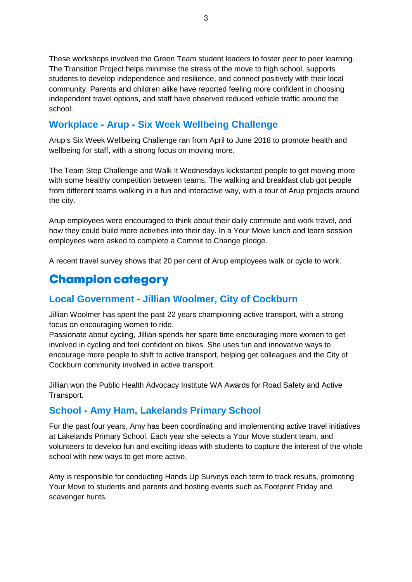These workshops involved the Green Team student leaders to foster peer to peer learning. The Transition Project helps minimise the stress of the move to high school, supports students to develop independence and resilience, and connect positively with their local community. Parents and children alike have reported feeling more confident in choosing independent travel options, and staff have observed reduced vehicle traffic around the school.

## **Workplace - Arup - Six Week Wellbeing Challenge**

Arup's Six Week Wellbeing Challenge ran from April to June 2018 to promote health and wellbeing for staff, with a strong focus on moving more.

The Team Step Challenge and Walk It Wednesdays kickstarted people to get moving more with some healthy competition between teams. The walking and breakfast club got people from different teams walking in a fun and interactive way, with a tour of Arup projects around the city.

Arup employees were encouraged to think about their daily commute and work travel, and how they could build more activities into their day. In a Your Move lunch and learn session employees were asked to complete a Commit to Change pledge.

A recent travel survey shows that 20 per cent of Arup employees walk or cycle to work.

# **Champion category**

### **Local Government - Jillian Woolmer, City of Cockburn**

Jillian Woolmer has spent the past 22 years championing active transport, with a strong focus on encouraging women to ride.

Passionate about cycling, Jillian spends her spare time encouraging more women to get involved in cycling and feel confident on bikes. She uses fun and innovative ways to encourage more people to shift to active transport, helping get colleagues and the City of Cockburn community involved in active transport.

Jillian won the Public Health Advocacy Institute WA Awards for Road Safety and Active Transport.

#### **School - Amy Ham, Lakelands Primary School**

For the past four years, Amy has been coordinating and implementing active travel initiatives at Lakelands Primary School. Each year she selects a Your Move student team, and volunteers to develop fun and exciting ideas with students to capture the interest of the whole school with new ways to get more active.

Amy is responsible for conducting Hands Up Surveys each term to track results, promoting Your Move to students and parents and hosting events such as Footprint Friday and scavenger hunts.